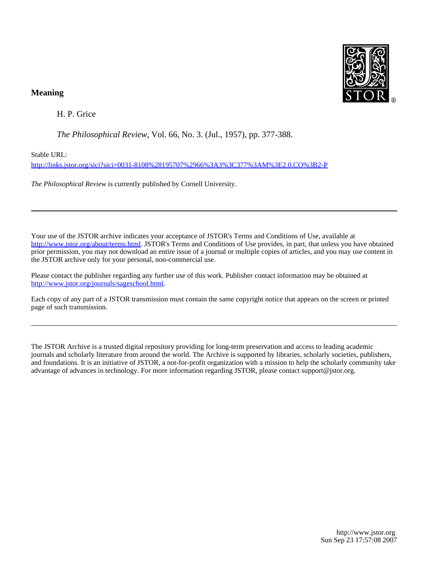# **Meaning**

H. P. Grice

*The Philosophical Review*, Vol. 66, No. 3. (Jul., 1957), pp. 377-388.

Stable URL:

<http://links.jstor.org/sici?sici=0031-8108%28195707%2966%3A3%3C377%3AM%3E2.0.CO%3B2-P>

*The Philosophical Review* is currently published by Cornell University.

Your use of the JSTOR archive indicates your acceptance of JSTOR's Terms and Conditions of Use, available at [http://www.jstor.org/about/terms.html.](http://www.jstor.org/about/terms.html) JSTOR's Terms and Conditions of Use provides, in part, that unless you have obtained prior permission, you may not download an entire issue of a journal or multiple copies of articles, and you may use content in the JSTOR archive only for your personal, non-commercial use.

Please contact the publisher regarding any further use of this work. Publisher contact information may be obtained at <http://www.jstor.org/journals/sageschool.html>.

Each copy of any part of a JSTOR transmission must contain the same copyright notice that appears on the screen or printed page of such transmission.

The JSTOR Archive is a trusted digital repository providing for long-term preservation and access to leading academic journals and scholarly literature from around the world. The Archive is supported by libraries, scholarly societies, publishers, and foundations. It is an initiative of JSTOR, a not-for-profit organization with a mission to help the scholarly community take advantage of advances in technology. For more information regarding JSTOR, please contact support@jstor.org.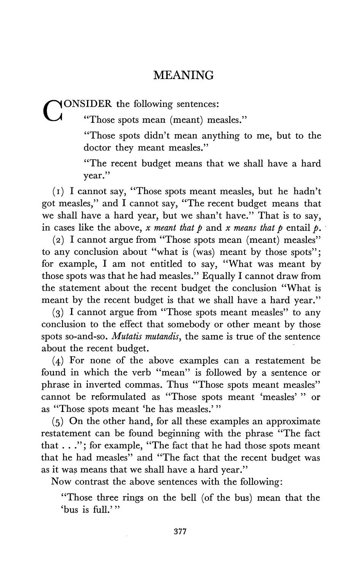YONSIDER the following sentences:

"Those spots mean (meant) measles."

"Those spots didn't mean anything to me, but to the doctor they meant measles."

"The recent budget means that we shall have a hard year."

(I) I cannot say, "Those spots meant measles, but he hadn't got measles," and I cannot say, "The recent budget means that we shall have a hard year, but we shan't have." That is to say, in cases like the above, x meant that  $p$  and x means that  $p$  entail  $p$ .

(2) I cannot argue from "Those spots mean (meant) measles" to any conclusion about "what is (was) meant by those spots"; for example, I am not entitled to say, "What was meant by those spots was that he had measles." Equally I cannot draw from the statement about the recent budget the conclusion "What is meant by the recent budget is that we shall have a hard year."

**(3)** I cannot argue from "Those spots meant measles" to any conclusion to the effect that somebody or other meant by those spots so-and-so. Mutatis mutandis, the same is true of the sentence about the recent budget.

(4) For none of the above examples can a restatement be found in which the verb "mean" is followed by a sentence or phrase in inverted commas. Thus "Those spots meant measles" cannot be reformulated as "Those spots meant 'measles' " or as "Those spots meant 'he has measles.' "

(5) On the other hand, for all these examples an approximate restatement can be found beginning with the phrase "The fact that  $\ldots$ "; for example, "The fact that he had those spots meant that he had measles" and "The fact that the recent budget was as it was means that we shall have a hard year."

Now contrast the above sentences with the following:

"Those three rings on the bell (of the bus) mean that the 'bus is full.'"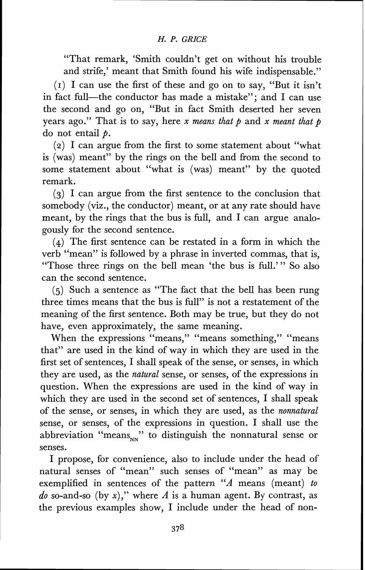"That remark, 'Smith couldn't get on without his trouble and strife,' meant that Smith found his wife indispensable."

(I) I can use the first of these and go on to say, "But it isn't in fact full—the conductor has made a mistake"; and I can use the second and go on, "But in fact Smith deserted her seven years ago." That is to say, here x *means that p* and x *meant that p*  do not entail *p.* 

(2) I can argue from the first to some statement about "what is (was) meant" by the rings on the bell and from the second to some statement about "what is (was) meant" by the quoted remark.

**(3)** I can argue from the first sentence to the conclusion that somebody (viz., the conductor) meant, or at any rate should have meant, by the rings that the bus is full, and I can argue analogously for the second sentence.

(4) The first sentence can be restated in a form in which the verb "mean" is followed by a phrase in inverted commas, that is, "Those three rings on the bell mean 'the bus is full.'" So also can the second sentence.

(5) Such a sentence as "The fact that the bell has been rung three times means that the bus is full" is not a restatement of the meaning of the first sentence. Both may be true, but they do not have, even approximately, the same meaning.

When the expressions "means," "means something," "means that" are used in the kind of way in which they are used in the first set of sentences, I shall speak of the sense, or senses, in which they are used, as the *natural* sense, or senses, of the expressions in question. When the expressions are used in the kind of way in which they are used in the second set of sentences, I shall speak of the sense, or senses, in which they are used, as the *nonnatural*  sense, or senses, of the expressions in question. I shall use the abbreviation "means<sub>NN</sub>" to distinguish the nonnatural sense or senses.

I propose, for convenience, also to include under the head of natural senses of "mean" such senses of "mean" as may be exemplified in sentences of the pattern *"A* means (meant) *to do* so-and-so (by  $x$ )," where *A* is a human agent. By contrast, as the previous examples show, I include under the head of non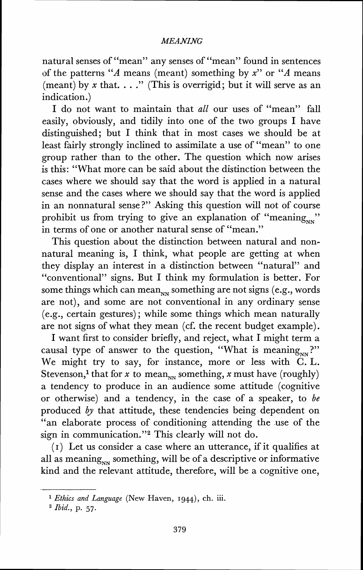natural senses of "mean" any senses of "mean" found in sentences of the patterns *"A* means (meant) something by x" or *"A* means (meant) by x that. . . ." (This is overrigid; but it will serve as an indication.)

I do not want to maintain that all our uses of "mean" fall easily, obviously, and tidily into one of the two groups I have distinguished; but I think that in most cases we should be at least fairly strongly inclined to assimilate a use of "mean" to one group rather than to the other. The question which now arises is this: "What more can be said about the distinction between the cases where we should say that the word is applied in a natural sense and the cases where we should say that the word is applied in an nonnatural sense?" Asking this question will not of course prohibit us from trying to give an explanation of "meaning $\ldots$ " in terms of one or another natural sense of "mean."

This question about the distinction between natural and nonnatural meaning is, I think, what people are getting at when they display an interest in a distinction between "natural" and "conventional" signs. But I think my formulation is better. For some things which can mean $_{\text{NN}}$  something are not signs (e.g., words are not), and some are not conventional in any ordinary sense (e.g., certain gestures) ;while some things which mean naturally are not signs of what they mean (cf. the recent budget example).

I want first to consider briefly, and reject, what I might term a causal type of answer to the question, "What is meaning<sub>NN</sub>?" We might try to say, for instance, more or less with C. L. Stevenson,<sup>1</sup> that for *x* to mean<sub>NN</sub> something, *x* must have (roughly) a tendency to produce in an audience some attitude (cognitive or otherwise) and a tendency, in the case of a speaker, to be produced by that attitude, these tendencies being dependent on "an elaborate process of conditioning attending the use of the sign in communication."<sup>2</sup> This clearly will not do.

(I) Let us consider a case where an utterance, if it qualifies at all as meaning<sub>NN</sub> something, will be of a descriptive or informative kind and the relevant attitude, therefore, will be a cognitive one,

<sup>&</sup>lt;sup>1</sup> Ethics and Language (New Haven, 1944), ch. iii.

*Ibid.,* p. 57.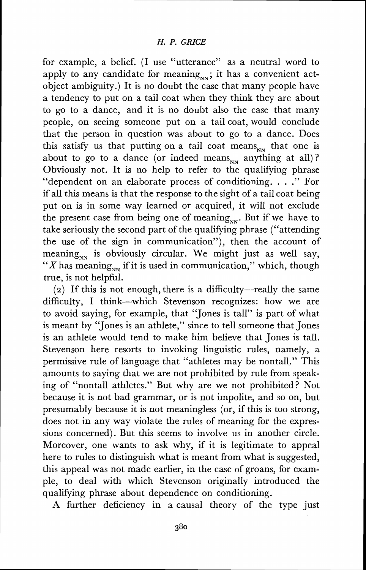for example, a belief. (I use "utterance" as a neutral word to apply to any candidate for meaning $_{\text{max}}$ ; it has a convenient actobject ambiguity.) It is no doubt the case that many people have a tendency to put on a tail coat when they think they are about to go to a dance, and it is no doubt also the case that many people, on seeing someone put on a tail coat, would conclude that the person in question was about to go to a dance. Does this satisfy us that putting on a tail coat means, that one is about to go to a dance (or indeed means, anything at all)? Obviously not. It is no help to refer to the qualifying phrase "dependent on an elaborate process of conditioning. . . ." For if all this means is that the response to the sight of a tail coat being put on is in some way learned or acquired, it will not exclude the present case from being one of meaning $_{\text{NN}}$ . But if we have to take seriously the second part of the qualifying phrase ("attending the use of the sign in communication"), then the account of meaning,, is obviously circular. We might just as well say, "X has meaning<sub>y</sub> if it is used in communication," which, though true, is not helpful.

(2) If this is not enough, there is a difficulty-really the same difficulty, I think—which Stevenson recognizes: how we are to avoid saying, for example, that "Jones is tall" is part of what is meant by "Jones is an athlete," since to tell someone that Jones is an athlete would tend to make him believe that Jones is tall. Stevenson here resorts to invoking linguistic rules, namely, a permissive rule of language that "athletes may be nontall," This amounts to saying that we are not prohibited by rule from speaking of "nontall athletes." But why are we not prohibited? Not because it is not bad grammar, or is not impolite, and so on, but presumably because it is not meaningless (or, if this is too strong, does not in any way violate the rules of meaning for the expressions concerned). But this seems to involve us in another circle. Moreover, one wants to ask why, if it is legitimate to appeal here to rules to distinguish what is meant from what is suggested, this appeal was not made earlier, in the case of groans, for example, to deal with which Stevenson originally introduced the qualifying phrase about dependence on conditioning.

**A** further deficiency in a causal theory of the type just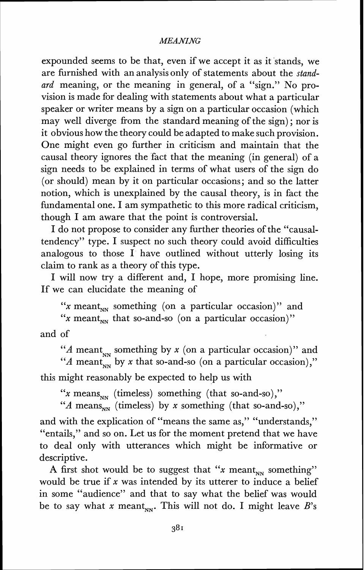expounded seems to be that, even if we accept it as it stands, we are furnished with an analysis only of statements about the standard meaning, or the meaning in general, of a "sign." No provision is made for dealing with statements about what a particular speaker or writer means by a sign on a particular occasion (which may well diverge from the standard meaning of the sign); nor is it obvious how the theory could be adapted to make such provision. One might even go further in criticism and maintain that the causal theory ignores the fact that the meaning (in general) of a sign needs to be explained in terms of what users of the sign do (or should) mean by it on particular occasions; and so the latter notion, which is unexplained by the causal theory, is in fact the fundamental one. I am sympathetic to this more radical criticism, though I am aware that the point is controversial.

I do not propose to consider any further theories of the "causaltendency" type. I suspect no such theory could avoid difficulties analogous to those  $I$  have outlined without utterly losing its claim to rank as a theory of this type.

I will now try a different and, I hope, more promising line. If we can elucidate the meaning of

"x meant<sub>NN</sub> something (on a particular occasion)" and "x meant<sub>NN</sub> that so-and-so (on a particular occasion)"

and of

*"A* meant<sub>NN</sub> something by x (on a particular occasion)" and "*A* meant<sub>NN</sub> by x that so-and-so (on a particular occasion),"

this might reasonably be expected to help us with

" $x$  means<sub>NN</sub> (timeless) something (that so-and-so),"

"A means<sub>NN</sub> (timeless) by x something (that so-and-so),"

and with the explication of "means the same as," "understands," "entails," and so on. Let us for the moment pretend that we have to deal only with utterances which might be informative or descriptive.

A first shot would be to suggest that " $x$  meant<sub>NN</sub> something" would be true if  $x$  was intended by its utterer to induce a belief in some "audience" and that to say what the belief was would be to say what x meant, This will not do. I might leave  $B$ 's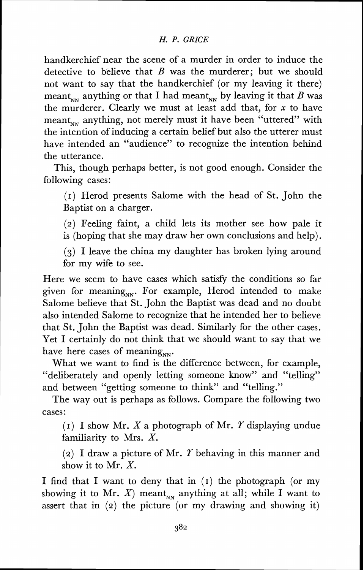handkerchief near the scene of a murder in order to induce the detective to believe that  $B$  was the murderer; but we should not want to say that the handkerchief (or my leaving it there) meant<sub>NN</sub> anything or that I had meant<sub>NN</sub> by leaving it that *B* was the murderer. Clearly we must at least add that, for  $x$  to have meant<sub>wy</sub> anything, not merely must it have been "uttered" with the intention of inducing a certain belief but also the utterer must have intended an "audience" to recognize the intention behind the utterance.

This, though perhaps better, is not good enough. Consider the following cases:

(I) Herod presents Salome with the head of St. John the Baptist on a charger.

(2) Feeling faint, a child lets its mother see how pale it is (hoping that she may draw her own conclusions and help).

**(3)** I leave the china my daughter has broken lying around for my wife to see.

Here we seem to have cases which satisfy the conditions so far given for meaning $_{\text{NN}}$ . For example, Herod intended to make Salome believe that St. John the Baptist was dead and no doubt also intended Salome to recognize that he intended her to believe that St. John the Baptist was dead. Similarly for the other cases. Yet I certainly do not think that we should want to say that we have here cases of meaning $_{\text{max}}$ .

What we want to find is the difference between, for example, "deliberately and openly letting someone know" and "telling" and between "getting someone to think" and "telling."

The way out is perhaps as follows. Compare the following two cases:

(1) I show Mr. X a photograph of Mr. Y displaying undue familiarity to Mrs.  $X$ .

(2) I draw a picture of Mr.  $\gamma$  behaving in this manner and show it to Mr.  $X$ .

I find that I want to deny that in (I) the photograph (or my showing it to Mr.  $X$ ) meant<sub>NN</sub> anything at all; while I want to assert that in (2) the picture (or my drawing and showing it)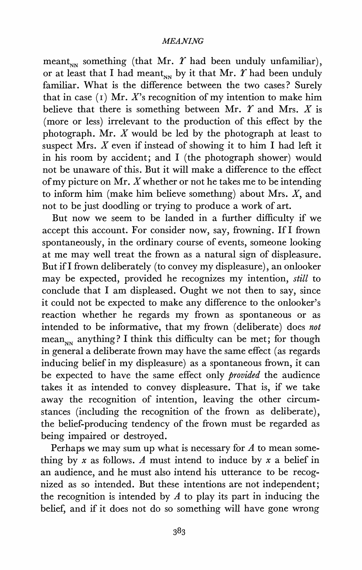meant<sub>NN</sub> something (that Mr.  $\Upsilon$  had been unduly unfamiliar), or at least that I had meant<sub>NN</sub> by it that Mr.  $\gamma$  had been unduly familiar. What is the difference between the two cases? Surely that in case  $(1)$  Mr. X's recognition of my intention to make him believe that there is something between Mr.  $\Gamma$  and Mrs.  $X$  is (more or less) irrelevant to the production of this effect by the photograph. Mr. X would be led by the photograph at least to suspect Mrs. X even if instead of showing it to him I had left it in his room by accident; and I (the photograph shower) would not be unaware of this. But it will make a difference to the effect of my picture on Mr.  $X$  whether or not he takes me to be intending to inform him (make him believe something) about Mrs.  $X$ , and not to be just doodling or trying to produce a work of art.

But now we seem to be landed in a further difficulty if we accept this account. For consider now, say, frowning. If I frown spontaneously, in the ordinary course of events, someone looking at me may well treat the frown as a natural sign of displeasure. But if I frown deliberately (to convey my displeasure), an onlooker may be expected, provided he recognizes my intention, **still** to conclude that I am displeased. Ought we not then to say, since it could not be expected to make any difference to the onlooker's reaction whether he regards my frown as spontaneous or as intended to be informative, that my frown (deliberate) does *not*  mean<sub>NN</sub> anything? I think this difficulty can be met; for though in general a deliberate frown may have the same effect (as regards inducing belief in my displeasure) as a spontaneous frown, it can be expected to have the same effect only *prouided* the audience takes it as intended to convey displeasure. That is, if we take away the recognition of intention, leaving the other circumstances (including the recognition of the frown as deliberate), the belief-producing tendency of the frown must be regarded as being impaired or destroyed.

Perhaps we may sum up what is necessary for *A* to mean something by x as follows. A must intend to induce by x a belief in an audience, and he must also intend his utterance to be recognized as so intended. But these intentions are not independent; the recognition is intended by *A* to play its part in inducing the belief, and if it does not do so something will have gone wrong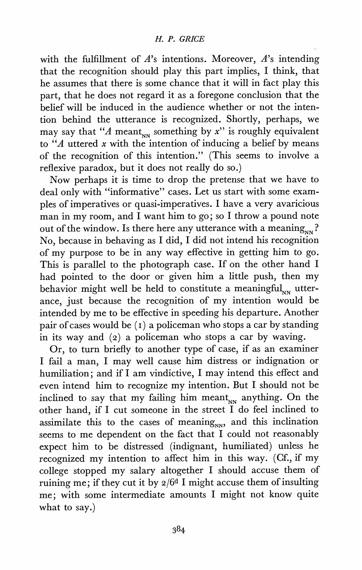#### *H.* **P.** *GRICE*

with the fulfillment of  $A$ 's intentions. Moreover,  $A$ 's intending that the recognition should play this part implies, I think, that he assumes that there is some chance that it will in fact play this part, that he does not regard it as a foregone conclusion that the belief will be induced in the audience whether or not the intention behind the utterance is recognized. Shortly, perhaps, we may say that "A meant<sub>NN</sub> something by x" is roughly equivalent to "A uttered x with the intention of inducing a belief by means of the recognition of this intention." (This seems to involve a reflexive paradox, but it does not really do so.)

Now perhaps it is time to drop the pretense that we have to deal only with "informative" cases. Let us start with some examples of imperatives or quasi-imperatives. I have a very avaricious man in my room, and I want him to go; so I throw a pound note out of the window. Is there here any utterance with a meaning<sub>NN</sub>? No, because in behaving as I did, I did not intend his recognition of my purpose to be in any way effective in getting him to go. This is parallel to the photograph case. If on the other hand I had pointed to the door or given him a little push, then my behavior might well be held to constitute a meaningful<sub>NN</sub> utterance, just because the recognition of my intention would be intended by me to be effective in speeding his departure. Another pair of cases would be  $(1)$  a policeman who stops a car by standing in its way and (2) a policeman who stops a car by waving.

Or, to turn briefly to another type of case, if as an examiner I fail a man, I may well cause him distress or indignation or humiliation; and if I am vindictive, I may intend this effect and even intend him to recognize my intention. But I should not be inclined to say that my failing him meant $_{NN}$  anything. On the other hand, if I cut someone in the street I do feel inclined to assimilate this to the cases of meaning<sub>NN</sub>, and this inclination seems to me dependent on the fact that I could not reasonably expect him to be distressed (indignant, humiliated) unless he recognized my intention to affect him in this way. (Cf., if my college stopped my salary altogether I should accuse them of ruining me; if they cut it by  $2/6<sup>d</sup>$  I might accuse them of insulting me; with some intermediate amounts I might not know quite what to say.)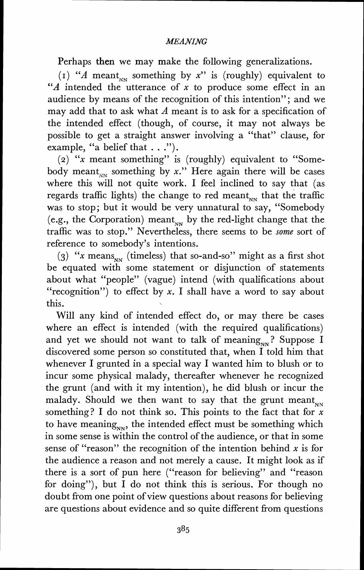Perhaps then we may make the following generalizations.

(I) "A meant<sub>NN</sub> something by x" is (roughly) equivalent to *"A* intended the utterance of x to produce some effect in an audience by means of the recognition of this intention"; and we may add that to ask what A meant is to ask for a specification of the intended effect (though, of course, it may not always be possible to get a straight answer involving a "that" clause, for example, "a belief that . . .").

(2) " $x$  meant something" is (roughly) equivalent to "Somebody meant<sub>in</sub>, something by x." Here again there will be cases where this will not quite work. I feel inclined to say that (as regards traffic lights) the change to red meant $_{\text{NN}}$  that the traffic was to stop; but it would be very unnatural to say, "Somebody (e.g., the Corporation) meant<sub>NN</sub> by the red-light change that the traffic was to stop." Nevertheless, there seems to be some sort of reference to somebody's intentions.

**(3)** "x means,, (timeless) that so-and-so" might as a first shot be equated with some statement or disjunction of statements about what "people" (vague) intend (with qualifications about "recognition") to effect by x. I shall have a word to say about this.

Will any kind of intended effect do, or may there be cases where an effect is intended (with the required qualifications) and yet we should not want to talk of meaning<sub>NN</sub>? Suppose I discovered some person so constituted that, when I told him that whenever I grunted in a special way I wanted him to blush or to incur some physical malady, thereafter whenever he recognized the grunt (and with it my intention), he did blush or incur the malady. Should we then want to say that the grunt meant<sub>NN</sub> something? I do not think so. This points to the fact that for  $x$ to have meaning<sub>NN</sub>, the intended effect must be something which in some sense is within the control of the audience, or that in some sense of "reason" the recognition of the intention behind  $x$  is for the audience a reason and not merely a cause. It might look as if there is a sort of pun here ("reason for believing" and "reason for doing"), but I do not think this is serious. For though no doubt from one point of view questions about reasons for believing are questions about evidence and so quite different from questions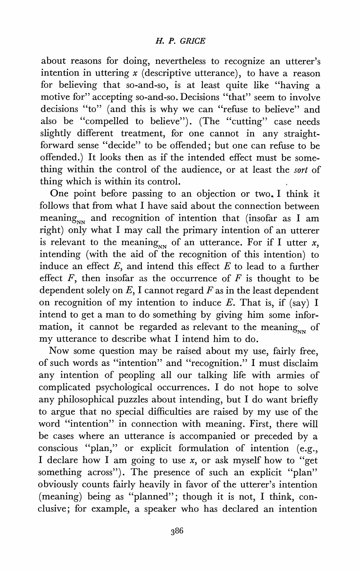about reasons for doing, nevertheless to recognize an utterer's intention in uttering  $x$  (descriptive utterance), to have a reason for believing that so-and-so, is at least quite like "having a motive for" accepting so-and-so. Decisions "that" seem to involve decisions "to" (and this is why we can "refuse to believe" and also be "compelled to believe"). (The "cutting" case needs slightly different treatment, for one cannot in any straightforward sense "decide" to be offended; but one can refuse to be offended.) It looks then as if the intended effect must be something within the control of the audience, or at least the *sort* of thing which is within its control.

One point before passing to an objection or two, I think it follows that from what I have said about the connection between meaning<sub>NN</sub> and recognition of intention that (insofar as I am right) only what I may call the primary intention of an utterer is relevant to the meaning<sub>NN</sub> of an utterance. For if I utter  $x$ , intending (with the aid of the recognition of this intention) to induce an effect  $E$ , and intend this effect  $E$  to lead to a further effect  $F$ , then insofar as the occurrence of  $F$  is thought to be dependent solely on  $E$ , I cannot regard  $F$  as in the least dependent on recognition of my intention to induce  $E$ . That is, if (say) I intend to get a man to do something by giving him some information, it cannot be regarded as relevant to the meaning<sub>NN</sub> of my utterance to describe what I intend him to do.

Now some question may be raised about my use, fairly free, of such words as "intention" and "recognition." I must disclaim any intention of peopling all our talking life with armies of complicated psychological occurrences. I do not hope to solve any philosophical puzzles about intending, but I do want briefly to argue that no special difficulties are raised by my use of the word "intention" in connection with meaning. First, there will be cases where an utterance is accompanied or preceded by a conscious "plan," or explicit formulation of intention (e.g., I declare how I am going to use **x,** or ask myself how to "get something across"). The presence of such an explicit "plan" obviously counts fairly heavily in favor of the utterer's intention (meaning) being as "planned"; though it is not, I think, conclusive; for example, a speaker who has declared an intention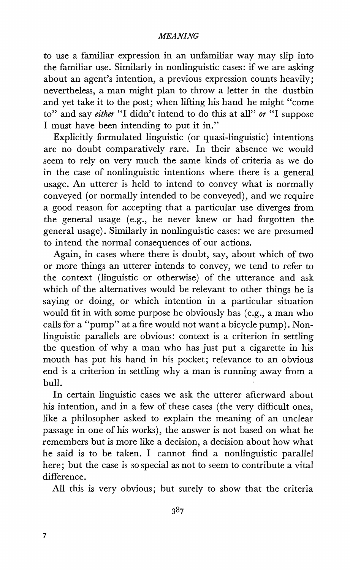to use a familiar expression in an unfamiliar way may slip into the familiar use. Similarly in nonlinguistic cases: if we are asking about an agent's intention, a previous expression counts heavily; nevertheless, a man might plan to throw a letter in the dustbin and yet take it to the post; when lifting his hand he might "come to" and say *either* "I didn't intend to do this at all'' *or* "I suppose *I* must have been intending to put it in."

Explicitly formulated linguistic (or quasi-linguistic) intentions are no doubt comparatively rare. In their absence we would seem to rely on very much the same kinds of criteria as we do in the case of nonlinguistic intentions where there is a general usage. An utterer is held to intend to convey what is normally conveyed (or normally intended to be conveyed), and we require a good reason for accepting that a particular use diverges from the general usage (e.g., he never knew or had forgotten the general usage). Similarly in nonlinguistic cases: we are presumed to intend the normal consequences of our actions.

Again, in cases where there is doubt, say, about which of two or more things an utterer intends to convey, we tend to refer to the context (linguistic or otherwise) of the utterance and ask which of the alternatives would be relevant to other things he is saying or doing, or which intention in a particular situation would fit in with some purpose he obviously has (e.g., a man who calls for a "pump" at a fire would not want a bicycle pump). Nonlinguistic parallels are obvious: context is a criterion in settling the question of why a man who has just put a cigarette in his mouth has put his hand in his pocket; relevance to an obvious end is a criterion in settling why a man is running away from a bull.

In certain linguistic cases we ask the utterer afterward about his intention, and in a few of these cases (the very difficult ones, like a philosopher asked to explain the meaning of an unclear passage in one of his works), the answer is not based on what he remembers but is more like a decision, a decision about how what he said is to be taken. I cannot find a nonlinguistic parallel here; but the case is so special as not to seem to contribute a vital difference.

All this is very obvious; but surely to show that the criteria